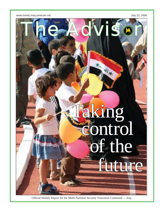www.mnstci.iraq.centcom.mil and the state of the state of the state of the state of the state of the state of the state of the state of the state of the state of the state of the state of the state of the state of the stat



Official Weekly Report for the Multi-National Security Transition Command — Iraq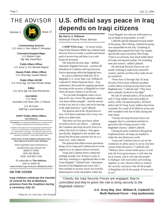



**Commanding General** U.S. Army Lt. Gen. Martin E. Dempsey

> **Command Sergeant Major** U.S. Marine Corps Sgt. Maj. Daniel Burs

**Public Affairs Officer** U.S. Army Lt. Col. Michael Negard

**Deputy Public Affairs Officer** U.S. Army Maj. Gerald Ostlund

**Public Affairs NCOIC** U.S. Army Sgt. 1st Class Ronda Jordan

**Editor** U.S. Army Sgt. 1st Class Rick Brown

#### **Journalists**

U.S. Navy Journalist 2nd Class John J. Pistone

> U.S. Air Force Staff Sgt. Lucia Newman

#### **CPATT Public Affairs Offi cer** Ann Bertucci

**The Advisor** is an authorized publication for members of the U.S. Defense Department and multinational partners.

*Contents of this paper are not necessarily the offi cial views of the U.S. government or multinational partners of the U.S. Department of Defense. The editorial content of this publication is the responsibility of the Multi-National Security Transition Command — Iraq Public Affairs Office.* 

**Some faces of Iraqi soldiers and police have been altered to protect their identities.**

Direct questions and comments to: pao@mnstci.iraq.centcom.mil MNSTC-I PAO APO AE 09316 DSN: 318-852-1334

To subscribe to **The Advisor**, visit us online at: www.mnstci.iraq.centcom.mil/advisor.html

### **ON THE COVER**

**Iraqi children celebrate the transfer of control for the al-Muthana province from the Coalition during a ceremony July 13.**

# **U.S. offi cial says peace in Iraq depends on Iraqi citizens**

**By Gerry J. Gilmore** American Forces Press Service

**CAMP TAJI, Iraq** — In recent weeks, Iraqi Prime Minister Maliki has ordered Iraqi Security Forces to make a unified and intense push to secure Iraq and deny it as a safe haven for terrorists.

The Iraqi-led security plan – dubbed Operation Together Forward – involves 48 battalions of Coalition and Iraqi Security Forces operating within the Baghdad area.

In a press conference held July 20 in Baghdad, U.S. Army Maj. Gen. William B. Caldwell IV, Multi-National Force – Iraq spokesman, discussed the ongoing operation, focusing on the security of Baghdad at a time when sectarian violence is on the rise.

 "As you look throughout what's occurring in the city, I know the questions asked, 'Are these efforts enough?' And the answer to that is no, but it's a start, and we're moving in the right direction," said Caldwell.

The general said of the 18 provinces in Iraq, 14 of them experience few, if any, incidents on a daily basis.

"But there are four provinces where we need to focus our efforts … utilizing the Coalition and Iraqi Security Forces to reduce the level of violence. And again, specifically, Baghdad is the number one [area] that the prime minister has set as a must-win," said Caldwell.

The general described certain operations being run by Iraqi and Coalition forces in the region to try to capture known terrorists.

"Iraqi and Coalition forces conducted multiple assaults over 10 days in early to mid-July, resulting in a significant blow to the Umar Brigade," Caldwell said. "Operations focused in the Baghdad area since July 7 have resulted in security forces successfully detaining four of the top leaders within the

Umar Brigade; two who are well-known as top al-Qaida in Iraq leaders, as well."

Caldwell said the detained terrorist leader of the group, Abu Uthman, claimed his group was responsible for the July 1 bombing in Baghdad that targeted the Sadr City market, specifically stores owned by Shi'a Iraqis. "And as we all know, that attack killed about 62 Iraqis and injured another 114, including men and women," added Caldwell.

He said Iraqi Security Forces are constantly working to make Iraq a peaceful country, and the sacrifices they make do not go unnoticed.

"From June 13 through July 19, Iraqi Security Forces have suffered casualties in their efforts to bring security here to the Baghdad area," Caldwell said. "They have been valiantly involved in this fight."

He said 31 national police, 24 local police and 27 Iraqi soldiers have been killed in action, while 114 national police, 103 local police and 227 Iraqi Army soldiers have been wounded, for a total of 92 killed in action and 444 wounded in the line of duty during that time frame.

"Clearly, the Iraqi Security Forces are engaged, they're committed and they're given the role to bring security to the Baghdadi citizens," added Caldwell.

Closing his press conference the general emphasized how all Iraqis are needed to make the new democracy work.

"Iraqi and Coalition forces can set the conditions to allow peace to occur, but they cannot make the peace," Caldwell said. "Military force cannot make peace. It will take the local government, it will take the local imams, and it will take the people to dialogue with each other and working together as one coherent effort to achieve the security and peace that all the people of Baghdad and all the people of Iraq want to see."

*"Clearly, the Iraqi Security Forces are engaged, they're committed and they're given the role to bring security to the Baghdadi citizens."*

 **U.S. Army Maj. Gen. William B. Caldwell IV, Multi-National Force – Iraq spokesman**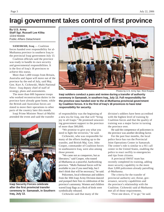# **Iragi government takes control of first province**

**By U.S. Army Staff Sgt. Russell Lee Klika** 133rd Mobile Public Affairs Detachment

**SAMAWAH, Iraq** — Coalition forces handed over responsibility for al-Muthanna province in southern Iraq to the provincial Iraqi government July 13.

Coalition officials said the province was ready to handle its own security and governmental responsibilities. It is the first of Iraq's 18 provinces to achieve this status.

More than 1,400 troops from Britain, Australia and Japan will move out of the province by the end of July, said Maj. Gen. Kurt A. Cichowski, Multi-National Force - Iraq deputy chief of staff of strategy, plans and assessments.

The more than 600 Japanese troops who worked reconstruction duties in the province have already gone home, while the British and Australian forces are slated to move their operations to other parts of the country later this month.

Iraqi Prime Minister Nouri al-Maliki attended the event and said the transfer



**Iraqi Security Forces celebrate after the first provincial transfer ceremony in Samawah, in Southern Iraq, July 13.** 



Photos by U.S. Army Spc. Rick Rzepka

**Iraqi soldiers conduct a pass and review during a transfer of authority ceremony in Samawah, in southern Iraq, July 13. Full responsibility for the province was handed over to the al-Muthanna provincial government**  by Coalition forces. It is the first of Iraq's 18 provinces to have total **responsibility for security.** 

of responsibility was the beginning of a new era for Iraq, one that will "bring joy to all Iraqis." He promised unwavering government support to the province of more than 500,000.

"We promise to give you what you need to fight the terrorists," he said.

Cichowski, who was responsible for many of the efforts leading up to the transfer, and British Maj. Gen. John Cooper, commander of Coalition forces in southeastern Iraq, were also among those present.

"We came not as conquerors, but as liberators," said Cooper, who touted al-Muthanna as a peaceful, hardworking province. "Multi-National forces will be available to you if you need help, but I don't think that will be necessary," he said.

Policemen, local tribesman and soldiers from the 10th Iraqi Army Division danced and pumped their fists in celebration of the province's autonomy. Women and children waved Iraqi flags as a flock of birds were symbolically released.

Cichowski said that many of the

division's soldiers have been accredited with the highest level of training by Coalition forces and that the quality of training was a major factor in turning the province over.

He said the competence of policemen in the province was another deciding factor.

For the past four months, the local police force has run the Provincial Joint Operations Center in Samawah. The center's role is similar to a 911 call center in the United States, enabling the police to react swiftly to emergencies and tips from citizens.

A provincial SWAT team has recently completed its training, adding more security capability to the more than 3,000 policemen already patrolling al-Muthanna.

The criteria for the transfer of provincial authority are; threat, governance, security capabilities and the province's relationship with the Coalition. Cichowski said al-Muthanna met all of those requirements.

"First one down, 17 to go," he said.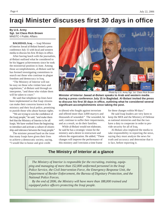# **Iraqi Minister discusses first 30 days in office**

### **By U.S. Army Sgt. 1st Class Rick Brown** MNSTC-I Public Affairs

**BAGHDAD, Iraq** — Iraqi Minister of Interior Jawad al-Bolani hosted a press conference July 15 with local and western media to discuss his first 30 days in office.

After having lunch with the journalists, al-Bolani outlined what he considered to be his biggest achievements since he took the ministerial position in June. Among those accomplishments, al-Bolani said he has formed investigating committees to search out those who continue to plague freedom and democracy in Iraq.

"The Ministry of Interior will not be easy on those who violate laws and regulations," al-Bolani said through an interpreter, "and those who violate them will be taken to court."

He said that telephone tip-lines have been implemented so that Iraqi citizens can make their concerns known to the ministry and their local police, promising to punish those who abuse human rights.

"We are trying to win the confidence of the Iraqi people," he said, "and make them feel that the Ministry of Interior is for all Iraqis. We have worked from the beginning to introduce and activate a culture of citizenship and tolerance between the Iraqi people."

The minister pressed hard on the issue that many Iraqis have given their lives to achieve a democratic society, saying, "I would like to honor and give credit



Photo by U.S. Army Sgt. 1st Class Rick Brown

**Minister of Interior Jawad al-Bolani speaks to Arab and western media during a press conference July 15 in Baghdad. Al-Bolani invited the press to discuss his fi rst 30 days in offi ce, outlining what he considered several signifi cant accomplishments since taking the post.**

to (those) who fought against terrorism and offered more than 3,000 martyrs and thousands of wounded." The wounded, he said, continue to suffer their impairments, and as a result, so do their families.

While al-Bolani would not elaborate, he said he has a strategic vision for the ministry and a desire to restructure and reform the organization. He added, "These changes will improve the performance of this ministry and I envision a time frame

for these changes within 90 days."

He said Iraqi leaders are very keen to keep the MOI and the Ministry of Defense as national ministries and that the two have a duty to cooperate in order to provide security for all of Iraq.

Al-Bolani also implored the media to take responsibility in reporting the news, saying they must analyze the news for truth and accuracy and determine that it is fact, before reporting it.

## **The Ministry of Interior at a glance**

*The Ministry of Interior is responsible for the recruiting, training, equipping and managing of more than 152,000 uniformed personnel in the Iraqi Police Service, the Civil Intervention Force, the Emergency Response Unit, the Department of Border Enforcement, the Bureau of Dignitary Protection, and the National Police Forces.* 

*By the end of 2006, the Ministry will have more than 188,000 trained and equipped police officers protecting the Iraqi people.*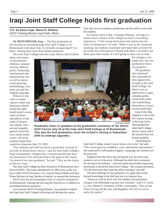# **Iraqi Joint Staff College holds first graduation**

**U.S. Air Force Capt. Stacie N. Shafran** NATO Training Mission-Iraq Public Affairs

AL RUSTAMIYAH, Iraq — The first graduation of the recently re-structured Iraqi Joint Staff College in Al Rustamiyah, took place July 15, formally recognizing 87 students. Among them were three female graduates.

The Joint Staff College educates Iraqi officers and civilians

about such topics as international relations, national security, defense policy, leadership, international and humanitarian law, as well as operational planning methodology, computer use and the English language.

Officers in the ranks of senior captain, major and lieutenant colonel attend the eightmonth junior course while civilians and officers in the ranks of lieutenant colonel, colonel and brigadier general attend the nine-month senior course. All of the students began their

respective programs Sept. 25, 2005.

"Our students and staff sacrificed a great deal, in terms of security, to attend these courses," said the Joint Staff College's Iraqi commandant. "Despite this, everyone proved they have the motivation to do well and achieve the goals of the course. I'm proud of our new graduates," he said. "They are the future of the new Iraq."

The Joint Staff College has been located at Al Rustamiyah since the mid-1920's. The Iraqi's abandoned it in 2003, prior to the war, but in 2005, NATO Secretary Gen. Jaap de Hoop Scheffer and then Prime Minister of Iraq, Ibrahim al-Jaafari, re-opened the institution.

NATO now has servicemembers from 12 countries stationed in Al Rustamiyah, training and advising the Iraqi forces, in addition to providing technical assistance.

Last summer NATO Training Mission - Iraq members helped the Iraqi Joint Staff College's directing staff develop the course.

Now they serve as mentors, partnering with the staff to assist with the students.

For Italian Navy Cmdr. Giuseppe Platania, serving as a senior course mentor at the college has been a rewarding experience. "I feel strong motivation and satisfaction for what I'm doing here," he said. "When I was in the classroom teaching, the students expressed such hope and curiosity for all of the new information I shared with them. I started to see them open their minds. It's still going to take a lot of time

> for changes to be made here, but this graduation shows our progress."

> The graduates also expressed their gratitude for their opportunity to study at the Joint Staff College. For them it was an opportunity to gain valuable professional skills while also establishing themselves as Iraq's newest leadership.

Iraqi Army Maj. Angham is one of the few women serving

Joint Staff College Junior Course and is the school's first ever female graduate. "Attending the

in the Iraqi Army. She attended the

**Graduates listen to speakers at the graduation ceremony of the Senior Staff Course July 15 at the Iraqi Joint Staff College at Al Rustamiyah. This was the first graduation since the school's closing in September 2005 to undergo upgrades.** 

> Joint Staff College Junior Course meant a lot to me," she said. "The course gave me confidence, trust, information and patience," she expressed in well-spoken English, a language she learned over the past year.

> Angham feels that she is also paving the way for more Iraqi women to serve in the army. Although she often faces resistance for serving in the military – and even spent nine months requesting permission to attend the Joint Staff College – she remains persistent. "It's the hard times that make the officer stronger," she said.

The next challenge for the graduates is to apply their newly learned knowledge in the field and use it to improve Iraq.

"Soon you will be back with the soldiers and policemen charged with defending Iraq and your freedom," said U.S. Army Lt. Gen. Martin E. Dempsey, NTM-I commander. "You are the future of Iraq and the sons and daughters will rely on you to unify this nation."

Courtesy photo

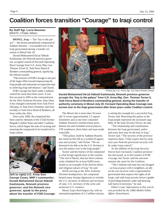## **Coalition forces transition "Courage" to Iraqi control**

### **By Staff Sgt. Lucia Newman** MNSTC-I Public Affairs

**MOSUL, Iraq** — The "key to the palace" – the former presidential compound of Saddam Hussein – was handed over to the Iraqi government during a transfer ceremony in Mosul July 20.

Duraid Mohammed Da'ud Abbodi Kashmoula, the Nineveh province governor, accepted control of Forward Operating Base Courage from U.S. Army Maj. Gen. Thomas Turner II, Task Force Band of Brothers commanding general, signifying the official transfer.

"The turnover of FOB Courage is one part of the larger effort toward empowering the Iraqi people and represents an important step in achieving Iraqi self-reliance," said Turner.

FOB Courage has been under Coalition control for more than three years. It was first secured in 2003 as the command post for the 101st Airborne Division. Since then, it has changed commands from Task Force Olympia, to Task Force Freedom, and most recently to Task Force Band of Brothers, all from within the 101st.

Since early 2006, the compound has been used by elements of the 172nd Stryker Brigade Combat Team and other Coalition forces, which began the task of vacating and restoring the compound to be transferred to Iraqi control.



**(left to right) U.S. Army Gen. George Casey, MNF-I commander; Duraid Mohammed Da'ud Abbodi Kashmoula, Nineveh province governor; and the Nineveh vice governor, speak to the press about the transfer of FOB Courage.** 



Photos by U.S. Army Sgt. 1st Class Ronda Jordan

**Duraid Mohammed Da'ud Abbodi Kashmoula, Nineveh province governor accepts the "key to the palace" from U.S. Army Maj. Gen. Thomas Turner II, Task Force Band of Brothers commanding general, during the transfer of authority ceremony in Mosul July 20. Forward Operating Base Courage was turned over to the Iraqi government after three years under Coaliton control.** 

The Mosul site is more than 10 years old. It covers approximately 2.2 square kilometers and at one time contained Saddam Hussein's northernmost presidential site and included several palaces, VIP residences, three lakes and man-made waterfalls.

"This palace, built by Saddam Hussein, has stood on this hill as a symbol of oppression and tyranny," said Turner. "We are honored to be able to be the U.S. division to turn this palace over to the Iraqi people."

Turner said the history of the compound is what brings significance to the transfer. "The soil of Mosul, that has been continuously inhabited for at least 8,000 years, stands as an example of the diverse ethnic and religious nature of Iraq," he said.

While serving as the 101st Airborne Division headquarters, the compound hosted many foreign dignitaries to include the U.S. secretary of defense and secretary of state, U.S. secretary of the army and numerous U.S. senators.

Mosul, Iraq's third largest city, with an estimated population of 2.3 million citizens, is setting the example for a successful Iraq, Turner said. Returning this palace to the Iraqi people represents the increased capability of the Iraqi Security Forces, he said.

"The relationship and coordination between the Iraqi government, police and army here may be the best in Iraq," Turner said. "The security of the province improves daily. I fully expect that by early next year Nineveh provincial security will be under Iraqi control."

As the abilities of the Iraqi Security Forces have increased, Coalition presence has decreased, as in the transfer of FOB Courage, but Turner said the outcome remains the same for the Coalition.

"The Coalition end-state has not changed – an Iraq at peace with it neighbors, an ally on the war on terror with a representative government that respects the rights of all Iraqis, and with Iraqi security forces capable of providing domestic order and denying safe haven to terrorists," he said.

*Editor's note: Information in this article was provided by the 138th Mobile Public Affairs Detachment.*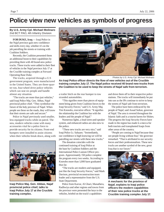# **Police view new vehicles as symbols of progress**

#### **By U.S. Army Cpl. Michael Molinaro** 2nd BCT PAO, 4th Infantry Division

**FOB DUKE, Iraq** — Iraqi Police in the Najaf province gain new confidence and skills every day, whether it's on the job patrolling the streets or training with Coalition Soldiers.

Recently, the Coalition presented them an additional boost to their capabilities by providing them with 40 brand-new police trucks. These trucks were added to their fleet of vehicles in the Najaf province July 17 at the Crucible training complex at Forward Operating Base Duke.

The trucks, acquired through a U.S government program, were manufactured in the United States. They are three-quarter ton, four-wheel drive police vehicles which can seat six people and handle almost any situation.

"The trucks are more than just vehicles," said Iraqi Police Maj. Gen. Abbas, Najaf provincial police chief. "They symbolize the future of the holy province of Najaf. When people see these on the roads, they will know that their streets are safe and secure."

Police in Najaf previously used smaller, less-equipped trucks while on patrol. The new, modern vehicles come with many accessories vital for a police force to provide security for its citizens. Front-end bumpers were installed to assist citizens when their vehicles break down, along with



**Iraqi Police Maj. Gen. Abbas, Najaf provincial police chief, talks to Iraqi Police July 17 at the Crucible training complex.**



Photos by U.S. Army Cpl. Michael Molinaro

**An Iraqi Police offi cer directs the fl ow of new vehicles out of the Crucible training complex July 17. The Najaf police received 40 brand new trucks from the Coalition to be used to keep the streets of Najaf safe from terrorism.**

a trailer hitch on the rear bumper to tow stranded automobiles.

"This signifies more than pieces of equipment being given from Coalition forces to the Iraqi Security Forces," said U.S. Army Maj. Tim Knowles, executive officer. "It signifies the relationship the Coalition has with the leaders and the people of Najaf."

Numerous lights, a loud siren-and-speaker system, and enhanced radios are also new to the police.

"These new trucks are very nice," said Iraqi Police Lt. Sahaam. "Immediately, our confidence is high knowing we will be patrolling our streets with these new trucks."

The donation coincides with the continued training of Iraqi Police at the base by Coalition Soldiers and the International Police Liaison Officer program. Approximately 150 police complete the program every two weeks. Accroding to Knowles more than 1,000 have graduated thus far.

"The trucks are modern and equipped, just like the Iraqi Security Forces," said Mark Davison, provincial reconstruction team leader and a representative from the U.S. State Department.

Police from Karrar, Al Ghari, Manathera, Radhwiya and other regions and towns from the province were presented the keys to the vehicles, briefed on the truck's capabilities

and drove them off to their respective police stations. The trucks will immediately be put into use as the IPs continue to strive to keep the streets of Najaf safe from terrorism.

The police have been embraced by the people of Najaf, said Assad Sultan, governor of Najaf. The area is revered throughout the Islamic faith and is a tourist haven for Shiites. The progress the Iraqi Security Forces have made in the region has made it a mecca for both tourists and transplanted Iraqis from other areas of the country.

"People are coming to Najaf because they see people living without fear," the governor remarked. "That is attributed to our security forces and their professionalism. These new trucks are another symbol of the new, great Iraq that is our future."



**A mechanic for the province of Najaf, explains to Iraqi police offi cers the modern capabilities of their new police trucks at the Crucible training complex July 17.**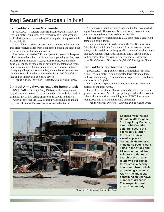## **Iraqi Security Forces /** in brief

### **Iraqi soldiers detain 6 terrorists**

**BAGHDAD** — Soldiers from 3rd Battalion, 6th Iraqi Army Division captured six suspected terrorists and a large weapons cache during a search in northwestern Baghdad at approximately 2 p.m., July 20.

Iraqi soldiers searched an apartment complex in the suburban area after receiving a tip from a concerned citizen and seized the terrorists along with a weapons cache,.

The cache consisted of 250 hand grenades, seven rocket-propelled grenade launchers and 14 rocket-propelled grenades, two artillery shells, a mortar system, seven rockets, two machineguns, 300 rounds of machinegun ammunition, detonation fuses, four to five pounds of home-made explosives, several batteries of varying voltage, a cluster bomb system, a home made rocket launcher, several switches connected to fuses, 300 feet of time fuse and an improvised-explosive device.

*— Multi-National Division – Baghdad Public Affairs Offi ce*

### **9th Iraqi Army thwarts roadside bomb attack**

**BAGHDAD** — 9th Iraqi Army Division soldiers arrested an Iraqi citizen and discovered an improvised explosive device north of Baghdad July 19 after acting on suspicious activity in the area.

After discovering the IED, a cordon was put in place and an Explosive Ordnance Disposal team was called to the site.

An Iraqi Army patrol passing the site spotted four civilians hiding behind a wall. The soldiers discovered a cell phone with a text message urging the recipient to detonate the IED.

The suspects were detained and EOD preformed a controlled detonation of the device.

In a separate incident, soldiers from the 2nd Battalion, 4th Brigade, 6th Iraqi Army Division, working at a traffic control point, confiscated three rocket-propelled grenade launchers, multiple RPG rounds, Iraqi Army uniforms and a vehicle during a routine traffic stop. The vehicle's occupants were detained.

*— Multi-National Division – Baghdad Public Affairs Offi ce*

### **Iraqi soldiers raid terrorist hideout**

**BAGHDAD** — Iraqi soldiers from 3rd Battalion, 6th Iraqi Army Division captured four suspected terrorists and a large cache of weapons July 19 in a raid on a suspected terrorist hideout in western Baghdad.

The captured suspects and weapons cache were taken into custody by the Iraqi Army.

The cache consisted of 10 mortar rounds, seven concussion grenades with fuses, 27 rocket-propelled grenades, three assault rifles with ammunition, three kilograms of TNT, five mortar rounds, two mortar base plates and a land mine.

*— Multi-National Division – Baghdad Public Affairs Offi ce*



**Soldiers from the 2nd Battalion, 4th Brigade, 6th Iraqi Army Division, along with Coalition soldiers, secure the scene July 17 after terrorists attacked a market place in Mahmudiyah. Reports indicate 42 people were killed in the attack and 70 were wounded. Iraqi soldiers conducted a search of the area and found two suspected terrorists in a nearby house with two rocketpropelled grenades, an AK-47 rifl e and a bag containing an unknown number of grenades. The suspects were taken into custody.**

Photo by U.S. Army Maj. Christopher Quick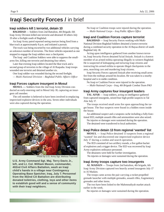## **Iraqi Security Forces /** in brief

### **Iraqi soldiers kill 1 terrorist, detain 10**

**BAGHDAD** — Soldiers from 2nd Battalion, 4th Brigade, 6th Iraqi Army Division killed one terrorist and detained 10 others July 19 after a firefight south of Baghdad.

An Iraqi Army patrol reported seeing mortars being fired from a blue truck at approximately 8 p.m. and initiated a pursuit.

The truck was being escorted by two additional vehicles carrying an unknown number of terrorists. The three vehicles separated as one stopped to engage the Iraqi soldiers near a checkpoint.

The Iraqi and Coalition Soldiers were able to suppress the smallarms fire, killing one terrorist and detaining four others.

Later that evening Iraqi soldiers located the blue truck and a second group of terrorists in the village of Al Raquaba. Iraqi troops wounded one terrorist and detained another six.

One Iraqi soldier was wounded during the second firefight.

*— Multi-National Division – Baghdad Public Affairs Offi ce*

### **Iraqi Forces capture insurgent in Mosul**

**MOSUL —** Soldiers from the 2nd Iraqi Army Division conducted an early-morning raid in Mosul July 18, capturing an insurgent cell member.

The cell member is believed to have been involved in emplacing improvised explosive devices in the area. Seven other individuals were also captured during the operation.



Photo by U.S. Army Sgt. Melissa Thornhill

**U.S. Army Command Sgt. Maj. Terry Davis Jr., left, and Lt. Col. William Mason, commander, 402nd Civil Affairs Battalion, wash an Iraqi child's hands in a village near Contingency Operating Base Speicher, Iraq, July 7. Personnel from the 402nd CA Battalion are distributing donated toiletries, clothing, toys and other items to establish good will and a sense of community with their Iraqi neighbors.** 

No Iraqi or Coalition troops were injured during the operation.  $-$  *Multi-National Corps – Iraq Public Affiars Office* 

## **Iraqi and Coalition Forces capture terrorist**

**BAGHDAD** — Iraqi Security Forces working with Multi-National Division-Baghdad Soldiers detained a known terrorist during a combined security operation in the Al Bayaa district of south Baghdad July 18.

Acting upon intelligence gathered from another known terrorist, Iraqi Security Forces detained Sa'ad Jiniyah. Jiniyah is a known member of an armed militia operating illegally in western Baghdad. He is suspected of kidnapping and torturing Iraqi citizens and instructing his armed militia to operate illegal checkpoints in the area, searching cars and murdering Iraqi citizens.

Iraqi Security Forces captured Jiniyah after receiving small-arms fire from the rooftops around his location. He was taken to a nearby hospital and is in stable condition.

No Iraqi or Coalition Forces were injured in the operation.

*— Multi-National Corps – Iraq, 4th Brigade Combat Team PAO*

### **Iraqi Army captures four insurgent leaders**

**TAL AFAR** — Iraqi soldiers, acting on intelligence gathered from captured insurgents, seized four high-profile suspects in Tal Afar July 17.

The troops received small arms fire upon approaching the target house. The four suspects were found in a hidden room inside the house.

An additional suspect and a weapons cache including a fully-functional IED, multiple assault rifles and ammunition were also seized.

No injuries or damages were sustained during the operation. The detained were transferred to local authorities.

### **Iraqi Police detain 13 from regional 'wanted' list**

**MOSUL** — Iraqi Police detained 13 suspects from a regional 'wanted' list and discovered one improvised explosive device July 17 during a cordon and search operation.

The IED consisted of two artillery rounds, a five gallon bucket of explosives and a trigger device. The IED was recovered by Iraqi Army explosives ordinance personnel.

The detainees were held for further investigation.

No injuries or damages were sustained during the operation.

### **Iraqi Army troops capture two insurgents**

**AL MADAIN** — Troops from 2nd battalion, 4th brigade, 6th Iraqi Army Division captured two heavily armed insurgents July 17 in Al Madain.

The troops came across the pair carrying a rocket-propelled grenade launcher with multiple grenades, assault rifles, fragmentary grenades and other items.

The two have been linked to the Mahmoudiyah market attack earlier in the week.

No injuries or damages were sustained during the operation.